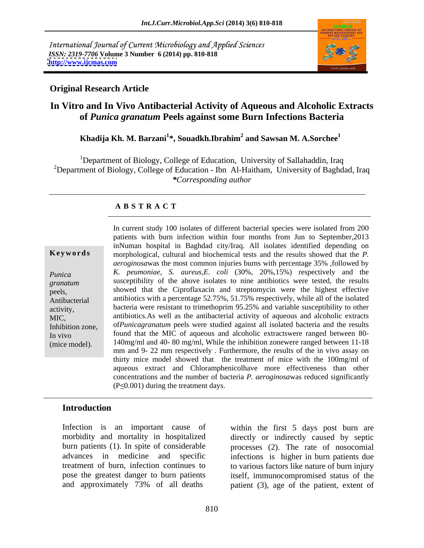International Journal of Current Microbiology and Applied Sciences *ISSN: 2319-7706* **Volume 3 Number 6 (2014) pp. 810-818 <http://www.ijcmas.com>**



#### **Original Research Article**

## **In Vitro and In Vivo Antibacterial Activity of Aqueous and Alcoholic Extracts of** *Punica granatum* **Peels against some Burn Infections Bacteria**

### **Khadija Kh. M. Barzani<sup>1</sup> \*, Souadkh.Ibrahim<sup>2</sup> and Sawsan M. A.Sorchee<sup>1</sup>**

<sup>1</sup>Department of Biology, College of Education, University of Sallahaddin, Iraq <sup>2</sup>Department of Biology, College of Education - Ibn Al-Haitham, University of Baghdad, Iraq *\*Corresponding author*

#### **A B S T R A C T**

**Ke ywo rds** morphological, cultural and biochemical tests and the results showed that the *P. Punica K. peumoniae, S. aureus,E. coli* (30%, 20%,15%) respectively and the *granatum* susceptibility of the above isolates to nine antibiotics were tested, the results peels, showed that the Ciproflaxacin and streptomycin were the highest effective Antibacterial antibiotics with a percentage 52.75%, 51.75% respectively, while all of the isolated activity, bacteria were resistant to trimethoprim 95.25% and variable susceptibility to other MIC, antibiotics.As well as the antibacterial activity of aqueous and alcoholic extracts Inhibition zone, of*Punicagranatum* peels were studied against all isolated bacteria and the results In vivo found that the MIC of aqueous and alcoholic extractswere ranged between 80-(mice model). 140mg/ml and 40- 80 mg/ml, While the inhibition zonewere ranged between 11-18 In current study 100 isolates of different bacterial species were isolated from 200 patients with burn infection within four months from Jun to September,2013 inNuman hospital in Baghdad city/Iraq. All isolates identified depending on *aeroginosa*was the most common injuries burns with percentage 35% ,followed by mm and 9- 22 mm respectively . Furthermore, the results of the in vivo assay on thirty mice model showed that the treatment of mice with the 100mg/ml of aqueous extract and Chloramphenicolhave more effectiveness than other concentrations and the number of bacteria *P. aeroginosa*was reduced significantly  $(P \le 0.001)$  during the treatment days.

### **Introduction**

Infection is an important cause of within the first 5 days post burn are morbidity and mortality in hospitalized directly or indirectly caused by septic burn patients (1). In spite of considerable processes (2). The rate of nosocomial advances in medicine and specific infections is higher in burn patients due treatment of burn, infection continues to to various factors like nature of burn injury pose the greatest danger to burn patients itself, immunocompromised status of the and approximately 73% of all deaths patient (3), age of the patient, extent of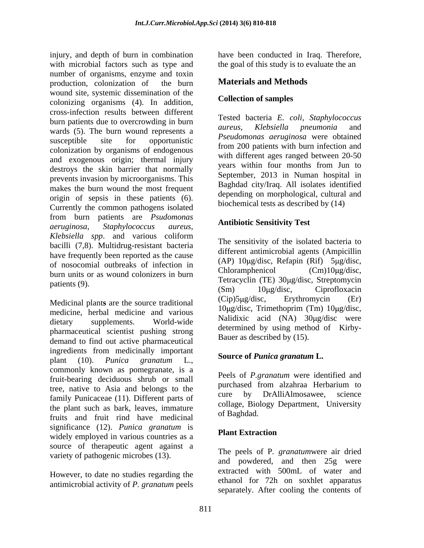injury, and depth of burn in combination have been conducted in Iraq. Therefore, with microbial factors such as type and the goal of this study is to evaluate the an number of organisms, enzyme and toxin production, colonization of the burn wound site, systemic dissemination of the colonizing organisms (4). In addition, cross-infection results between different burn patients due to overcrowding in burn<br>aureus, Klebsiella pneumonia and<br>aureus, Klebsiella pneumonia and wards (5). The burn wound represents a susceptible site for opportunistic rseudomonus deruginosa were obtained colonization by organisms of endogenous and exogenous origin; thermal injury<br>vears within four months from Jun to destroys the skin barrier that normally prevents invasion by microorganisms. This makes the burn wound the most frequent origin of sepsis in these patients (6). Currently the common pathogens isolated from burn patients are *Psudomonas aeruginosa*, *Staphylococcus aureus*, *Klebsiella spp*. and various coliform bacilli (7,8). Multidrug-resistant bacteria have frequently been reported as the cause of nosocomial outbreaks of infection in  $(AP)$  TOHg/disc, Retaple  $(R)$  DHg/disc,  $(R)$  DHg/disc,  $(Cm)$  DHg/disc,  $(Cm)$  DHg/disc, burn units or as wound colonizers in burn  $\frac{\text{Sum mass of as would co-ಸes in earth}}{\text{Tetracyclin (TE) } 30 \mu\text{g/disc, Streptomycin}}$ 

medicine, herbal medicine and various dietary supplements. World-wide **National Action** Superintensity were pharmaceutical scientist pushing strong demand to find out active pharmaceutical ingredients from medicinally important plant (10). *Punica granatum* L., commonly known as pomegranate, is a fruit-bearing deciduous shrub or small tree, native to Asia and belongs to the the purchased from alzanta Herbarium to the cure by DrAlliAlmosawee, science family Punicaceae (11). Different parts of the plant such as bark, leaves, immature collage, Bio.<br>
finite and finite rind, have modising of Baghdad. fruits and fruit rind have medicinal significance (12). *Punica granatum* is  $\frac{1}{2}$  widely employed in various countries as a **Plant Extraction** source of therapeutic agent against a variety of pathogenic microbes (13).

However, to date no studies regarding the antimicrobial activity of *P. granatum* peels

### **Materials and Methods**

#### **Collection of samples**

Tested bacteria *E. coli*, *Staphylococcus aureus, Klebsiella pneumonia* and *Pseudomonas aeruginosa* were obtained from 200 patients with burn infection and with different ages ranged between 20-50 years within four months from Jun to September, 2013 in Numan hospital in Baghdad city/Iraq. All isolates identified depending on morphological, cultural and biochemical tests as described by (14)

### **Antibiotic Sensitivity Test**

Medicinal plants are the source traditional (Cip)5µg/disc, Erythromycin (Er) The sensitivity of the isolated bacteria to different antimicrobial agents (Ampicillin (AP)  $10\mu\text{g/disc}$ , Refapin (Rif)  $5\mu\text{g/disc}$ ,  $Chloramphenicol$   $(Cm)10 \mu g/disc$ , (Sm) 10μg/disc, Ciprofloxacin (Cip)5 g/disc, Erythromycin (Er)  $10\mu$ g/disc, Trimethoprim (Tm)  $10\mu$ g/disc, Nalidixic acid (NA) 30µg/disc were determined by using method of Kirby- Bauer as described by (15).

### **Source of** *Punica granatum* **L.**

Peels of *P.granatum* were identified and purchased from alzahraa Herbarium to cure by DrAlliAlmosawee, science collage, Biology Department, University of Baghdad.

#### **Plant Extraction**

The peels of P*. granatum*were air dried and powdered, and then 25g were extracted with 500mL of water and ethanol for 72h on soxhlet apparatus separately. After cooling the contents of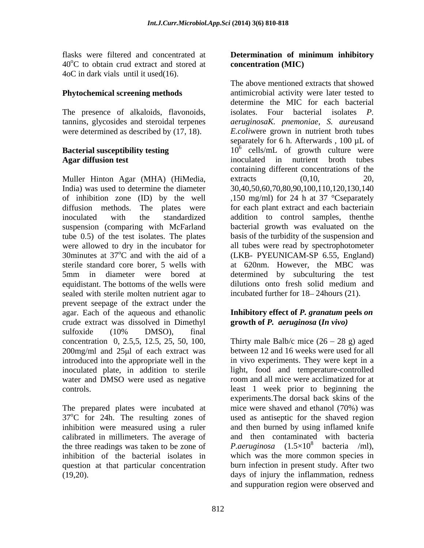$40^{\circ}$ C to obtain crud extract and stored at concentration (MIC) 4oC in dark vials until it used(16).

The presence of alkaloids, flavonoids, isolates. Four bacterial isolates P. were determined as described by (17, 18).

Muller Hinton Agar (MHA) (HiMedia, equidistant. The bottoms of the wells were dilutions onto fresh solid medium and sealed with sterile molten nutrient agar to prevent seepage of the extract under the agar. Each of the aqueous and ethanolic **Inhibitory effect of** *P. granatum* **peels** *on* crude extract was dissolved in Dimethyl sulfoxide (10% DMSO), final  $200$ mg/ml and  $25 \mu$ l of each extract was water and DMSO were used as negative

The prepared plates were incubated at inhibition were measured using a ruler calibrated in millimeters. The average of question at that particular concentration

#### flasks were filtered and concentrated at **Determination of minimum inhibitory Determination of minimum inhibitory concentration (MIC)**

**Phytochemical screening methods** antimicrobial activity were later tested to tannins, glycosides and steroidal terpenes *aeruginosaK. pnemoniae, S. aureus*and **Bacterial susceptibility testing** 10<sup>6</sup> cells/mL of growth culture were **Agar diffusion test** inoculated in nutrient broth tubes India) was used to determine the diameter 30,40,50,60,70,80,90,100,110,120,130,140 of inhibition zone (ID) by the well ,150 mg/ml) for 24 h at 37 °Cseparately diffusion methods. The plates were for each plant extract and each bacteriain inoculated with the standardized addition to control samples, thenthe suspension (comparing with McFarland bacterial growth was evaluated on the tube 0.5) of the test isolates. The plates basis of the turbidity of the suspension and were allowed to dry in the incubator for all tubes were read by spectrophotometer 30minutes at  $37^{\circ}$ C and with the aid of a (LKB- PYEUNICAM-SP 6.55, England) sterile standard core borer, 5 wells with at 620nm. However, the MBC was 5mm in diameter were bored at determined by subculturing the test The above mentioned extracts that showed determine the MIC for each bacterial isolates. Four bacterial *isolates E.coli*were grown in nutrient broth tubes separately for 6 h. Afterwards, 100 µL of containing different concentrations of the extracts  $(0,10,$  20, dilutions onto fresh solid medium and incubated further for 18–24 hours (21).

# **growth of** *P. aeruginosa* **(***In vivo)*

concentration 0, 2.5,5, 12.5, 25, 50, 100, Thirty male Balb/c mice  $(26 - 28)$  g) aged introduced into the appropriate well in the in vivo experiments. They were kept in a inoculated plate, in addition to sterile light, food and temperature-controlled controls. least 1 week prior to beginning the  $37^{\circ}$ C for 24h. The resulting zones of used as antiseptic for the shaved region the three readings was taken to be zone of  $P.$ *aeruginosa*  $(1.5 \times 10^8)$  bacteria /ml. inhibition of the bacterial isolates in which was the more common species in (19,20). days of injury the inflammation, redness between 12 and 16 weeks were used for all room and all mice were acclimatized for at experiments.The dorsal back skins of the mice were shaved and ethanol (70%) was and then burned by using inflamed knife and then contaminated with bacteria <sup>8</sup> bacteria /ml), burn infection in present study. After two and suppuration region were observed and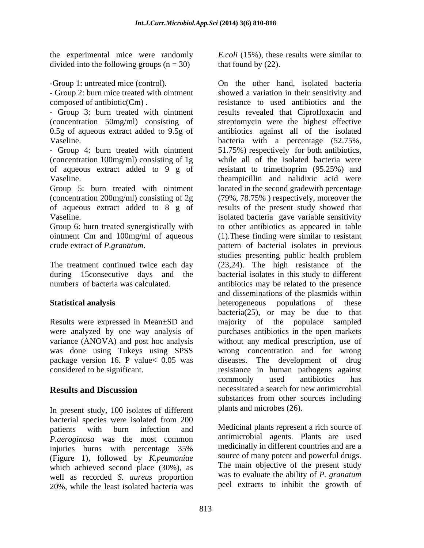divided into the following groups  $(n = 30)$ 

- Group 2: burn mice treated with ointment

(concentration 100mg/ml) consisting of 1g of aqueous extract added to 9 g of

In present study, 100 isolates of different bacterial species were isolated from 200 patients with burn infection and Medicinal plants represent a rich source of *P.aeroginosa* was the most common injuries burns with percentage 35% (Figure 1), followed by *K.peumoniae* which achieved second place (30%), as well as recorded *S. aureus* proportion 20%, while the least isolated bacteria was

the experimental mice were randomly *E.coli* (15%), these results were similar to that found by (22).

-Group 1: untreated mice (control). On the other hand, isolated bacteria composed of antibiotic(Cm). resistance to used antibiotics and the - Group 3: burn treated with ointment results revealed that Ciprofloxacin and (concentration 50mg/ml) consisting of streptomycin were the highest effective 0.5g of aqueous extract added to 9.5g of antibiotics against all of the isolated Vaseline. bacteria with a percentage (52.75%, - Group 4: burn treated with ointment 51.75%) respectively for both antibiotics, Vaseline. theampicillin and nalidixic acid were Group 5: burn treated with ointment located in the second gradewith percentage (concentration 200mg/ml) consisting of 2g (79%, 78.75% ) respectively, moreover the of aqueous extract added to 8 g of results of the present study showed that Vaseline. isolated bacteria gave variable sensitivity Group 6: burn treated synergistically with to other antibiotics as appeared in table ointment Cm and 100mg/ml of aqueous (1).These finding were similar to resistant crude extract of *P.granatum*. pattern of bacterial isolates in previous The treatment continued twice each day (23,24). The high resistance of the during 15consecutive days and the bacterial isolates in this study to different numbers of bacteria was calculated. antibiotics may be related to the presence **Statistical analysis** beterogeneous populations of these Results were expressed in Mean±SD and majority of the populace sampled were analyzed by one way analysis of purchases antibiotics in the open markets variance (ANOVA) and post hoc analysis without any medical prescription, use of was done using Tukeys using SPSS wrong concentration and for wrong package version 16. P value< 0.05 was diseases. The development of drug considered to be significant. resistance in human pathogens against **Results and Discussion necessitated a search for new antimicrobial** showed a variation in their sensitivity and while all of the isolated bacteria were resistant to trimethoprim (95.25%) and studies presenting public health problem and disseminations of the plasmids within heterogeneous populations of these bacteria( $25$ ), or may be due to that commonly used antibiotics has substances from other sources including plants and microbes (26).

> Medicinal plants represent a rich source of antimicrobial agents. Plants are used medicinally in different countries and are a source of many potent and powerful drugs. The main objective of the present study was to evaluate the ability of *P. granatum* peel extracts to inhibit the growth of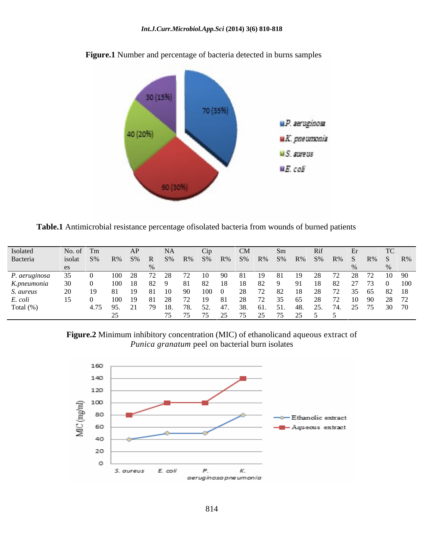

**Figure.1** Number and percentage of bacteria detected in burns samples

**Table.1** Antimicrobial resistance percentage ofisolated bacteria from wounds of burned patients

| Isolated                                                               |  | No. of Tm AP NA Cip CM Sm                                          |                             |  |  | Rif |  |  |
|------------------------------------------------------------------------|--|--------------------------------------------------------------------|-----------------------------|--|--|-----|--|--|
| Bacteria                                                               |  | isolat S% R% S% R S% R% S% R% S% R% S% R% S% R% S R% S R% S        |                             |  |  |     |  |  |
|                                                                        |  |                                                                    |                             |  |  |     |  |  |
| P. aeruginosa 35 0 100 28 72 28 72 10 90 81 19 81 19 28 72 28 72 10 90 |  |                                                                    |                             |  |  |     |  |  |
| K.pneumonia 30 0 100 18 82 9 81 82 18 18 82 9 91 18 82 27 73 0 100     |  |                                                                    |                             |  |  |     |  |  |
| S. aureus                                                              |  | 20 19 81 19 81 10 90 100 0 28 72 82 18 28 72 35 65 82 18           |                             |  |  |     |  |  |
| E. coli                                                                |  | 15 0 100 19 81 28 72 19 81 28 72 35 65 28 72 10 90 28 72           |                             |  |  |     |  |  |
| Total $(\%)$                                                           |  | 4.75 95. 21 79 18. 78. 52. 47. 38. 61. 51. 48. 25. 74. 25 75 30 70 |                             |  |  |     |  |  |
|                                                                        |  |                                                                    | 75 75 75 25 75 25 75 25 5 5 |  |  |     |  |  |
|                                                                        |  |                                                                    |                             |  |  |     |  |  |

**Figure.2** Minimum inhibitory concentration (MIC) of ethanolicand aqueous extract of *Punica granatum* peel on bacterial burn isolates

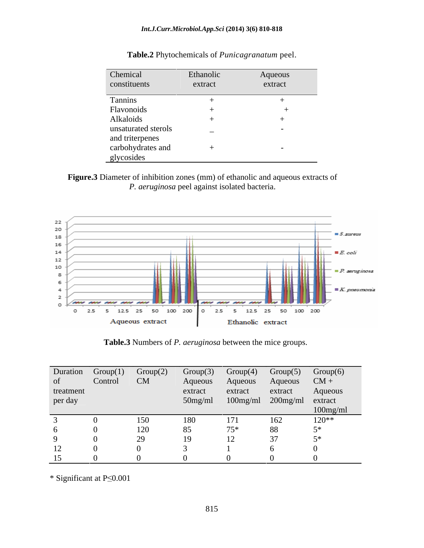| Chemical            | Ethanolic                | Aqueous |
|---------------------|--------------------------|---------|
| constituents        | extract                  | extract |
| Tannins             |                          |         |
| Flavonoids          |                          |         |
| Alkaloids           |                          |         |
| unsaturated sterols | $\overline{\phantom{0}}$ |         |
| and triterpenes     |                          |         |
| carbohydrates and   |                          |         |
| glycosides          |                          |         |

**Table.2** Phytochemicals of *Punicagranatum* peel.

**Figure.3** Diameter of inhibition zones (mm) of ethanolic and aqueous extracts of *P. aeruginosa* peel against isolated bacteria.



**Table.3** Numbers of *P. aeruginosa* between the mice groups.

|           |         | Duration $Group(1)$ $Group(2)$ |                                   |         |         | $Group(3)$ $Group(4)$ $Group(5)$ $Group(6)$ |
|-----------|---------|--------------------------------|-----------------------------------|---------|---------|---------------------------------------------|
|           | Control | CM                             | Aqueous Aqueous Aqueous CM +      |         |         |                                             |
| treatment |         |                                | extract                           | extract | extract | Aqueous                                     |
| per day   |         |                                | 50mg/ml 100mg/ml 200mg/ml extract |         |         |                                             |
|           |         |                                |                                   |         |         | $100$ mg                                    |
|           |         |                                |                                   |         |         | $120**$                                     |
|           |         | 120                            |                                   |         | 88      |                                             |
|           |         |                                |                                   |         | $\sim$  |                                             |
| 12        |         |                                |                                   |         |         |                                             |
| 15        |         |                                |                                   |         |         |                                             |

 $*$  Significant at P $\leq 0.001$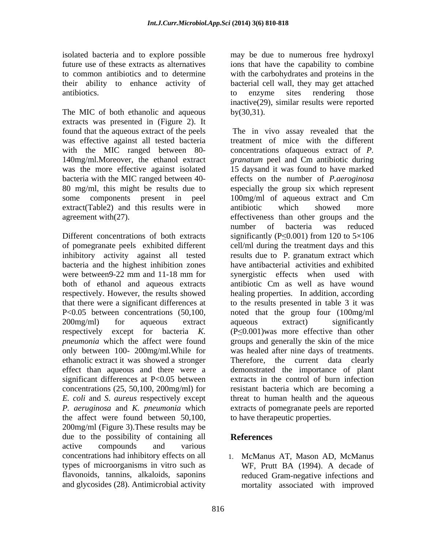antibiotics.

The MIC of both ethanolic and aqueous by  $(30,31)$ . extracts was presented in (Figure 2). It extract(Table2) and this results were in antibiotic which showed more

bacteria and the highest inhibition zones both of ethanol and aqueous extracts only between 100- 200mg/ml.While for significant differences at P<0.05 between the affect were found between 50,100, 200mg/ml (Figure 3).These results may be due to the possibility of containing all **References** active compounds and various concentrations had inhibitory effects on all 1. McManus AT, Mason AD, McManus

isolated bacteria and to explore possible may be due to numerous free hydroxyl future use of these extracts as alternatives ions that have the capability to combine to common antibiotics and to determine with the carbohydrates and proteins in the their ability to enhance activity of bacterial cell wall, they may get attached to enzyme sites rendering those inactive(29), similar results were reported  $by(30,31).$ 

found that the aqueous extract of the peels The in vivo assay revealed that the was effective against all tested bacteria treatment of mice with the different with the MIC ranged between 80- concentrations ofaqueous extract of *P.*  140mg/ml.Moreover, the ethanol extract *granatum* peel and Cm antibiotic during was the more effective against isolated 15 daysand it was found to have marked bacteria with the MIC ranged between 40- effects on the number of *P.aeroginosa* 80 mg/ml, this might be results due to especially the group six which represent some components present in peel 100mg/ml of aqueous extract and Cm agreement with(27). effectiveness than other groups and the Different concentrations of both extracts significantly ( $P \le 0.001$ ) from 120 to  $5 \times 106$ of pomegranate peels exhibited different cell/ml during the treatment days and this inhibitory activity against all tested results due to P. granatum extract which were between9-22 mm and 11-18 mm for synergistic effects when used with respectively. However, the results showed healing properties. In addition, according that there were a significant differences at to the results presented in table 3 it was P<0.05 between concentrations (50,100, noted that the group four (100mg/ml 200mg/ml) for aqueous extract aqueous extract) significantly respectively except for bacteria  $K$ .  $(P \leq 0.001)$  was more effective than other *pneumonia* which the affect were found groups and generally the skin of the mice ethanolic extract it was showed a stronger Therefore, the current data clearly effect than aqueous and there were a demonstrated the importance of plant concentrations (25, 50,100, 200mg/ml) for resistant bacteria which are becoming a *E. coli* and *S. aureus* respectively except threat to human health and the aqueous *P. aeruginosa* and *K. pneumonia* which extracts of pomegranate peels are reported antibiotic which showed more number of bacteria was reduced have antibacterial activities and exhibited antibiotic Cm as well as have wound aqueous extract) significantly was healed after nine days of treatments. extracts in the control of burn infection to have therapeutic properties.

### **References**

types of microorganisms in vitro such as WF, Prutt BA (1994). A decade of flavonoids, tannins, alkaloids, saponins reduced Gram-negative infections and and glycosides (28). Antimicrobial activity mortality associated with improved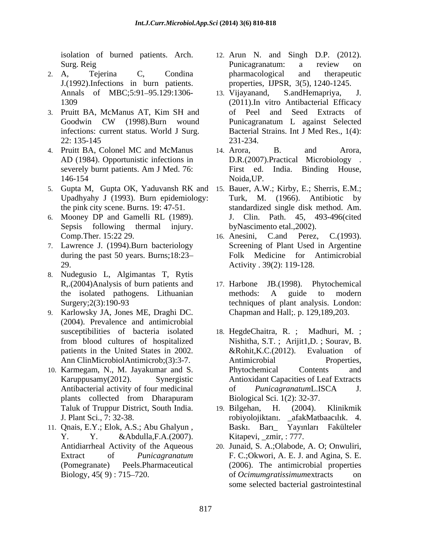isolation of burned patients. Arch.

- 2. A, Tejerina C, Condina pharmacological and therapeutic J.(1992).Infections in burn patients.
- 3. Pruitt BA, McManus AT, Kim SH and infections: current status. World J Surg.
- 4. Pruitt BA, Colonel MC and McManus 14. Arora, B. and Arora, AD (1984). Opportunistic infections in
- 5. Gupta M, Gupta OK, Yaduvansh RK and 15. Bauer, A.W.; Kirby, E.; Sherris, E.M.; Upadhyahy J (1993). Burn epidemiology: the pink city scene. Burns. 19: 47-51. standardized single disk method. Am.
- 6. Mooney DP and Gamelli RL (1989).
- 7. Lawrence J. (1994).Burn bacteriology
- 8. Nudegusio L, Algimantas T, Rytis
- 9. Karlowsky JA, Jones ME, Draghi DC. (2004). Prevalence and antimicrobial
- 10. Karmegam, N., M. Jayakumar and S.
- 11. Qnais, E.Y.; Elok, A.S.; Abu Ghalyun ,
- Surg. Reig and the Surgeon Punicagranatum: a review on 12. Arun N. and Singh D.P. (2012). Punicagranatum: a review on pharmacological and therapeutic properties, IJPSR, 3(5), 1240-1245.
- Annals of MBC;5:91-95.129:1306- 13. Vijayanand, S.andHemapriya, J. 1309 (2011).In vitro Antibacterial Efficacy Goodwin CW (1998).Burn wound 22: 135-145 S. and Hemapriya, of Peel and Seed Extracts Punicagranatum L against Selected Bacterial Strains. Int J Med Res., 1(4): 231-234.
- severely burnt patients. Am J Med. 76: First ed. India. Binding House, 146-154 Noida, UP. 14. Arora, B. and Arora, D.R.(2007).Practical Microbiology . First ed. India. Binding House, Noida,UP.
- Sepsis following thermal injury. byNascimento etal.,2002). Turk, M. (1966). Antibiotic by J. Clin. Path. 45, 493-496(cited
- Comp.Ther. 15:22 29. 16. Anesini, C.and Perez, C.(1993). during the past 50 years. Burns;18:23 Folk Medicine for Antimicrobial 29. Activity . 39(2): 119-128. Screening of Plant Used in Argentine
- R,.(2004)Analysis of burn patients and 17. Harbone JB.(1998). Phytochemical the isolated pathogens. Lithuanian Surgery;2(3):190-93 techniques of plant analysis. London: 17. Harbone JB.(1998). methods: A guide to modern Chapman and Hall;. p. 129,189,203.
- susceptibilities of bacteria isolated 18. HegdeChaitra, R. ; Madhuri, M. ; from blood cultures of hospitalized Nishitha, S.T. ; Arijit1,D. ; Sourav, B. patients in the United States in 2002.  $\&$  Rohit, K.C. (2012). Evaluation of Ann ClinMicrobiolAntimicrob;(3):3-7. Antimicrobial Properties, Karuppusamy(2012). Synergistic Antioxidant Capacities of Leaf Extracts Antibacterial activity of four medicinal of *Punicagranatum*L.ISCA J. plants collected from Dharapuram Biological Sci. 1(2): 32-37. &Rohit,K.C.(2012). Evaluation of Antimicrobial Properties, Phytochemical Contents and of *Punicagranatum*L.ISCA J. Biological Sci. 1(2): 32-37.
- Taluk of Truppur District, South India. <br>
19. Bilgehan, H. (2004). Klinikmik J. Plant Sci., 7: 32-38. robiyolojiktan . \_afakMatbaac l k. 4. Y. Y. &Abdulla,F.A.(2007). Kitapevi, \_zmir, : 777. 19. Bilgehan, H. (2004). Klinikmik Baskı. Barı\_ Yayınları Fakülteler
- Antidiarrheal Activity of the Aqueous 20. Junaid, S. A.;Olabode, A. O; Onwuliri, Extract of *Punicagranatum* F. C.;Okwori, A. E. J. and Agina, S. E. (Pomegranate) Peels.Pharmaceutical (2006). The antimicrobial properties Biology, 45( 9) : 715 720. of *Ocimumgratissimum*extracts on some selected bacterial gastrointestinal